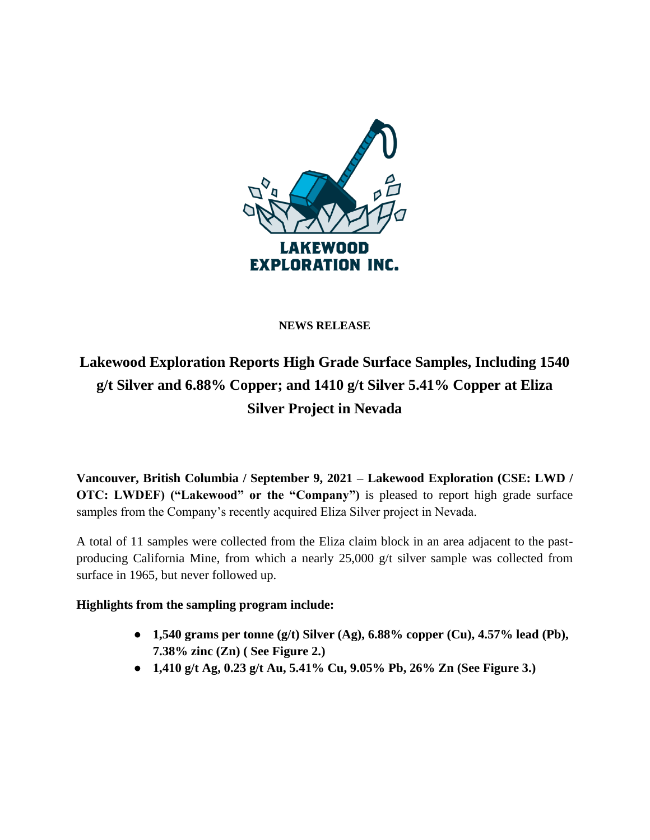

### **NEWS RELEASE**

# **Lakewood Exploration Reports High Grade Surface Samples, Including 1540 g/t Silver and 6.88% Copper; and 1410 g/t Silver 5.41% Copper at Eliza Silver Project in Nevada**

**Vancouver, British Columbia / September 9, 2021 – Lakewood Exploration (CSE: LWD / OTC: LWDEF)** ("Lakewood" or the "Company") is pleased to report high grade surface samples from the Company's recently acquired Eliza Silver project in Nevada.

A total of 11 samples were collected from the Eliza claim block in an area adjacent to the pastproducing California Mine, from which a nearly 25,000 g/t silver sample was collected from surface in 1965, but never followed up.

## **Highlights from the sampling program include:**

- **1,540 grams per tonne (g/t) Silver (Ag), 6.88% copper (Cu), 4.57% lead (Pb), 7.38% zinc (Zn) ( See Figure 2.)**
- **1,410 g/t Ag, 0.23 g/t Au, 5.41% Cu, 9.05% Pb, 26% Zn (See Figure 3.)**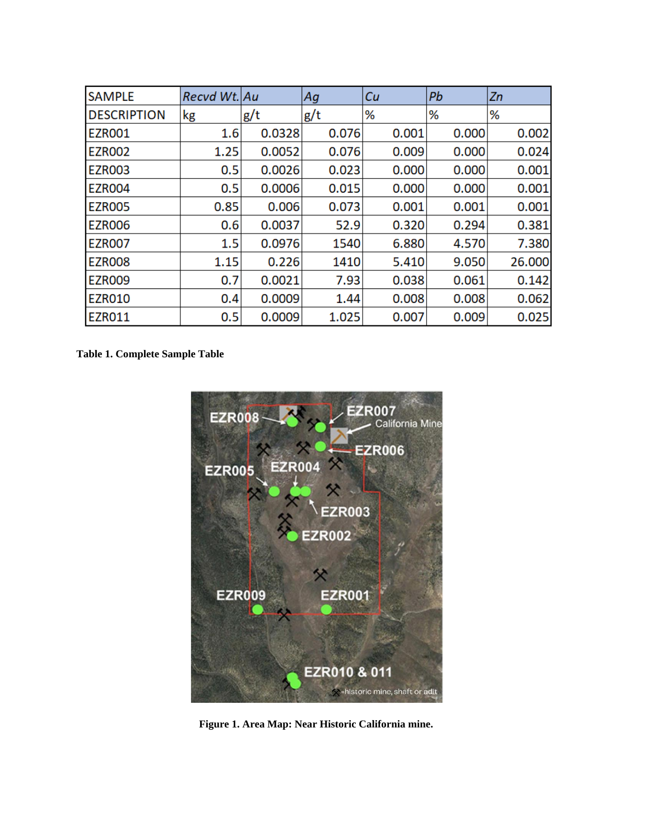| <b>SAMPLE</b>      | <b>Recyd Wt. Au</b> |        | Ag    | Сu    | Pb    | Zn     |
|--------------------|---------------------|--------|-------|-------|-------|--------|
| <b>DESCRIPTION</b> | kg                  | g/t    | g/t   | ℅     | ℅     | ℅      |
| <b>EZRO01</b>      | 1.6                 | 0.0328 | 0.076 | 0.001 | 0.000 | 0.002  |
| <b>EZRO02</b>      | 1.25                | 0.0052 | 0.076 | 0.009 | 0.000 | 0.024  |
| <b>EZR003</b>      | 0.5                 | 0.0026 | 0.023 | 0.000 | 0.000 | 0.001  |
| <b>EZR004</b>      | 0.5                 | 0.0006 | 0.015 | 0.000 | 0.000 | 0.001  |
| <b>EZRO05</b>      | 0.85                | 0.006  | 0.073 | 0.001 | 0.001 | 0.001  |
| <b>EZR006</b>      | 0.6                 | 0.0037 | 52.9  | 0.320 | 0.294 | 0.381  |
| <b>EZR007</b>      | 1.5                 | 0.0976 | 1540  | 6.880 | 4.570 | 7.380  |
| <b>EZR008</b>      | 1.15                | 0.226  | 1410  | 5.410 | 9.050 | 26.000 |
| <b>EZR009</b>      | 0.7                 | 0.0021 | 7.93  | 0.038 | 0.061 | 0.142  |
| <b>EZR010</b>      | 0.4                 | 0.0009 | 1.44  | 0.008 | 0.008 | 0.062  |
| <b>EZR011</b>      | 0.5                 | 0.0009 | 1.025 | 0.007 | 0.009 | 0.025  |

**Table 1. Complete Sample Table**



 **Figure 1. Area Map: Near Historic California mine.**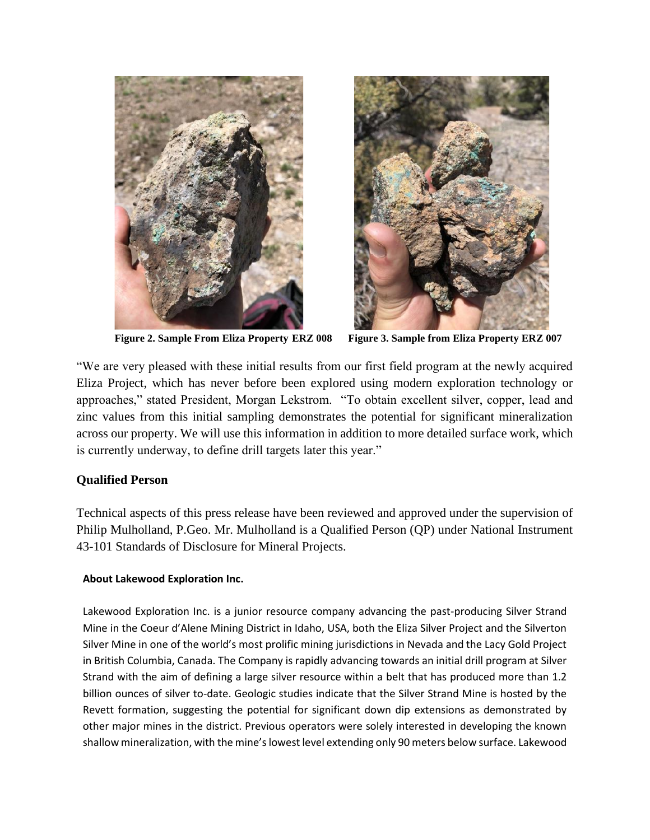



**Figure 2. Sample From Eliza Property ERZ 008 Figure 3. Sample from Eliza Property ERZ 007**

"We are very pleased with these initial results from our first field program at the newly acquired Eliza Project, which has never before been explored using modern exploration technology or approaches," stated President, Morgan Lekstrom. "To obtain excellent silver, copper, lead and zinc values from this initial sampling demonstrates the potential for significant mineralization across our property. We will use this information in addition to more detailed surface work, which is currently underway, to define drill targets later this year."

#### **Qualified Person**

Technical aspects of this press release have been reviewed and approved under the supervision of Philip Mulholland, P.Geo. Mr. Mulholland is a Qualified Person (QP) under National Instrument 43-101 Standards of Disclosure for Mineral Projects.

#### **About Lakewood Exploration Inc.**

Lakewood Exploration Inc. is a junior resource company advancing the past-producing Silver Strand Mine in the Coeur d'Alene Mining District in Idaho, USA, both the Eliza Silver Project and the Silverton Silver Mine in one of the world's most prolific mining jurisdictions in Nevada and the Lacy Gold Project in British Columbia, Canada. The Company is rapidly advancing towards an initial drill program at Silver Strand with the aim of defining a large silver resource within a belt that has produced more than 1.2 billion ounces of silver to-date. Geologic studies indicate that the Silver Strand Mine is hosted by the Revett formation, suggesting the potential for significant down dip extensions as demonstrated by other major mines in the district. Previous operators were solely interested in developing the known shallow mineralization, with the mine's lowest level extending only 90 meters below surface. Lakewood